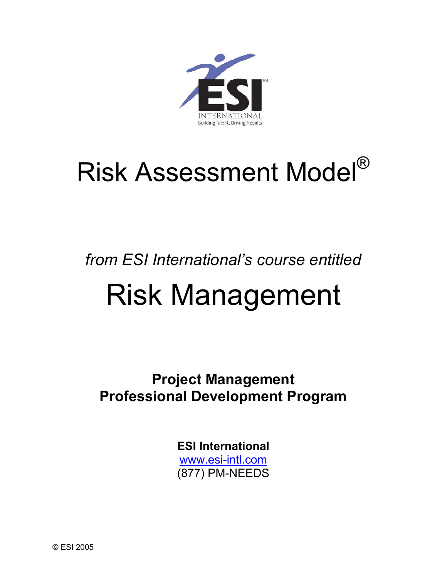

# Risk Assessment Model®

## *from ESI International's course entitled*  Risk Management

**Project Management Professional Development Program** 

> **ESI International** www.esi-intl.com (877) PM-NEEDS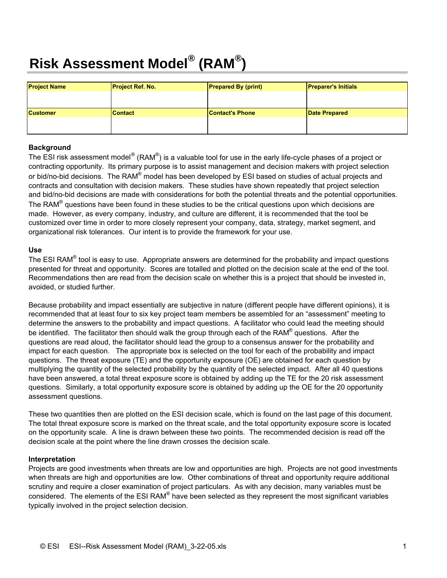## **Risk Assessment Model® (RAM® )**

| <b>Project Name</b> | <b>Project Ref. No.</b> | <b>Prepared By (print)</b> | <b>Preparer's Initials</b> |
|---------------------|-------------------------|----------------------------|----------------------------|
|                     |                         |                            |                            |
| <b>Customer</b>     | <b>Contact</b>          | <b>Contact's Phone</b>     | Date Prepared              |
|                     |                         |                            |                            |
|                     |                         |                            |                            |

#### **Background**

The ESI risk assessment model<sup>®</sup> (RAM<sup>®</sup>) is a valuable tool for use in the early life-cycle phases of a project or contracting opportunity. Its primary purpose is to assist management and decision makers with project selection or bid/no-bid decisions. The RAM<sup>®</sup> model has been developed by ESI based on studies of actual projects and contracts and consultation with decision makers. These studies have shown repeatedly that project selection and bid/no-bid decisions are made with considerations for both the potential threats and the potential opportunities. The RAM<sup>®</sup> questions have been found in these studies to be the critical questions upon which decisions are made. However, as every company, industry, and culture are different, it is recommended that the tool be customized over time in order to more closely represent your company, data, strategy, market segment, and organizational risk tolerances. Our intent is to provide the framework for your use.

#### **Use**

The ESI RAM<sup>®</sup> tool is easy to use. Appropriate answers are determined for the probability and impact questions presented for threat and opportunity. Scores are totalled and plotted on the decision scale at the end of the tool. Recommendations then are read from the decision scale on whether this is a project that should be invested in, avoided, or studied further.

Because probability and impact essentially are subjective in nature (different people have different opinions), it is recommended that at least four to six key project team members be assembled for an "assessment" meeting to determine the answers to the probability and impact questions. A facilitator who could lead the meeting should be identified. The facilitator then should walk the group through each of the RAM® questions. After the questions are read aloud, the facilitator should lead the group to a consensus answer for the probability and impact for each question. The appropriate box is selected on the tool for each of the probability and impact questions. The threat exposure (TE) and the opportunity exposure (OE) are obtained for each question by multiplying the quantity of the selected probability by the quantity of the selected impact. After all 40 questions have been answered, a total threat exposure score is obtained by adding up the TE for the 20 risk assessment questions. Similarly, a total opportunity exposure score is obtained by adding up the OE for the 20 opportunity assessment questions.

These two quantities then are plotted on the ESI decision scale, which is found on the last page of this document. The total threat exposure score is marked on the threat scale, and the total opportunity exposure score is located on the opportunity scale. A line is drawn between these two points. The recommended decision is read off the decision scale at the point where the line drawn crosses the decision scale.

#### **Interpretation**

Projects are good investments when threats are low and opportunities are high. Projects are not good investments when threats are high and opportunities are low. Other combinations of threat and opportunity require additional scrutiny and require a closer examination of project particulars. As with any decision, many variables must be considered. The elements of the ESI RAM® have been selected as they represent the most significant variables typically involved in the project selection decision.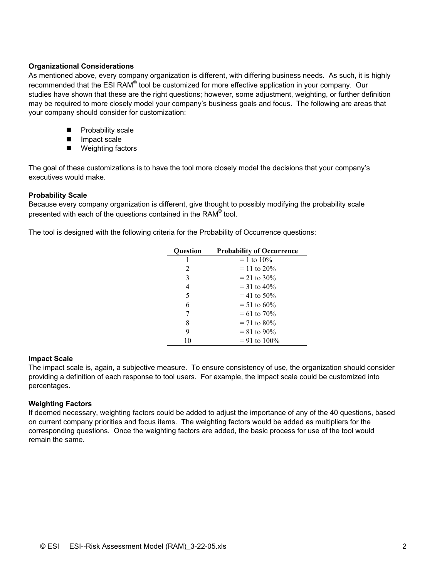#### **Organizational Considerations**

As mentioned above, every company organization is different, with differing business needs. As such, it is highly recommended that the ESI RAM<sup>®</sup> tool be customized for more effective application in your company. Our studies have shown that these are the right questions; however, some adjustment, weighting, or further definition may be required to more closely model your company's business goals and focus. The following are areas that your company should consider for customization:

- **Probability scale**
- **Impact scale**
- Weighting factors

The goal of these customizations is to have the tool more closely model the decisions that your company's executives would make.

#### **Probability Scale**

Because every company organization is different, give thought to possibly modifying the probability scale presented with each of the questions contained in the RAM<sup>®</sup> tool.

The tool is designed with the following criteria for the Probability of Occurrence questions:

| <b>Ouestion</b> | <b>Probability of Occurrence</b> |
|-----------------|----------------------------------|
| I               | $= 1$ to 10%                     |
| 2               | $=$ 11 to 20%                    |
| 3               | $= 21$ to 30%                    |
| 4               | $=$ 31 to 40%                    |
| 5               | $=$ 41 to 50%                    |
| 6               | $= 51$ to 60%                    |
| 7               | $= 61$ to $70\%$                 |
| 8               | $= 71$ to 80%                    |
| 9               | $= 81$ to 90%                    |
| 10              | $= 91$ to $100\%$                |

#### **Impact Scale**

The impact scale is, again, a subjective measure. To ensure consistency of use, the organization should consider providing a definition of each response to tool users. For example, the impact scale could be customized into percentages.

#### **Weighting Factors**

If deemed necessary, weighting factors could be added to adjust the importance of any of the 40 questions, based on current company priorities and focus items. The weighting factors would be added as multipliers for the corresponding questions. Once the weighting factors are added, the basic process for use of the tool would remain the same.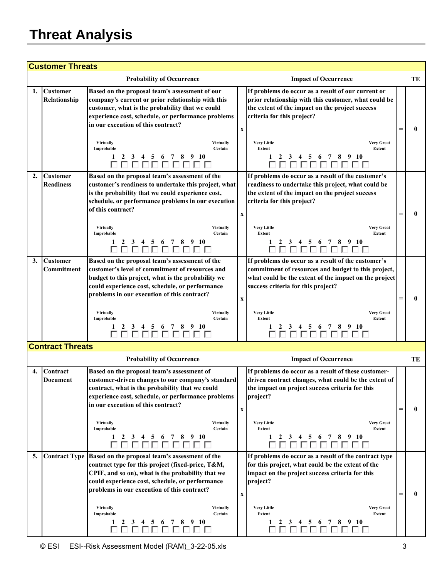### **Threat Analysis**

| <b>Customer Threats</b> |                                     |                                                                                                                                                                                                                                                                                                                                                                                                                                         |                           |                                                                                                                                                                                                                                                                                                                             |  |    |  |  |
|-------------------------|-------------------------------------|-----------------------------------------------------------------------------------------------------------------------------------------------------------------------------------------------------------------------------------------------------------------------------------------------------------------------------------------------------------------------------------------------------------------------------------------|---------------------------|-----------------------------------------------------------------------------------------------------------------------------------------------------------------------------------------------------------------------------------------------------------------------------------------------------------------------------|--|----|--|--|
|                         |                                     | <b>Probability of Occurrence</b>                                                                                                                                                                                                                                                                                                                                                                                                        |                           | <b>Impact of Occurrence</b>                                                                                                                                                                                                                                                                                                 |  | TE |  |  |
| 1.                      | <b>Customer</b><br>Relationship     | Based on the proposal team's assessment of our<br>company's current or prior relationship with this<br>customer, what is the probability that we could<br>experience cost, schedule, or performance problems<br>in our execution of this contract?<br><b>Virtually</b><br><b>Virtually</b><br>Certain<br>Improbable<br>6 7 8 9 10<br>1<br>2<br>3<br>4<br>5<br>00000000                                                                  | $\boldsymbol{\mathrm{X}}$ | If problems do occur as a result of our current or<br>prior relationship with this customer, what could be<br>the extent of the impact on the project success<br>criteria for this project?<br><b>Very Little</b><br><b>Very Great</b><br>Extent<br>Extent<br>9 10<br>5 6 7 8<br>1<br>2<br>3<br>$\overline{4}$<br>888888888 |  | 0  |  |  |
| $\overline{2}$ .        | <b>Customer</b><br><b>Readiness</b> | Based on the proposal team's assessment of the<br>customer's readiness to undertake this project, what<br>is the probability that we could experience cost,<br>schedule, or performance problems in our execution<br>of this contract?<br><b>Virtually</b><br><b>Virtually</b><br>Improbable<br>Certain<br>5 6 7 8 9 10<br>4<br>0000000                                                                                                 | $\boldsymbol{\mathrm{X}}$ | If problems do occur as a result of the customer's<br>readiness to undertake this project, what could be<br>the extent of the impact on the project success<br>criteria for this project?<br><b>Very Little</b><br><b>Very Great</b><br>Extent<br>Extent<br>3 4 5 6 7 8 9 10<br>000000000                                   |  | 0  |  |  |
| 3.                      | <b>Customer</b><br>Commitment       | Based on the proposal team's assessment of the<br>customer's level of commitment of resources and<br>budget to this project, what is the probability we<br>could experience cost, schedule, or performance<br>problems in our execution of this contract?<br><b>Virtually</b><br><b>Virtually</b><br>Certain<br>Improbable<br>$\begin{array}{ c c c c c c }\n\hline\n1 & 5 & 6 & 7 & 8 & 9 & 10 \\ \hline\n\hline\n\hline\n\end{array}$ | x                         | If problems do occur as a result of the customer's<br>commitment of resources and budget to this project,<br>what could be the extent of the impact on the project<br>success criteria for this project?<br><b>Very Little</b><br><b>Very Great</b><br><b>Extent</b><br>Extent                                              |  | 0  |  |  |
|                         | <b>Contract Threats</b>             | <b>Probability of Occurrence</b>                                                                                                                                                                                                                                                                                                                                                                                                        |                           | <b>Impact of Occurrence</b>                                                                                                                                                                                                                                                                                                 |  | TE |  |  |
| 4.                      | Contract<br>Document                | Based on the proposal team's assessment of<br>customer-driven changes to our company's standard<br>contract, what is the probability that we could<br>experience cost, schedule, or performance problems<br>in our execution of this contract?<br><b>Virtually</b><br><b>Virtually</b><br>Improbable<br>Certain<br>4 5 6 7 8 9 10<br>3<br>1<br>2<br>000000000                                                                           | $\boldsymbol{\mathrm{X}}$ | If problems do occur as a result of these customer-<br>driven contract changes, what could be the extent of<br>the impact on project success criteria for this<br>project?<br><b>Very Little</b><br><b>Very Great</b><br>Extent<br><b>Extent</b><br>2 3 4 5 6 7 8 9 10<br>1<br>oooooooooo                                   |  | 0  |  |  |
| 5.                      |                                     | Contract Type Based on the proposal team's assessment of the<br>contract type for this project (fixed-price, T&M,<br>CPIF, and so on), what is the probability that we<br>could experience cost, schedule, or performance<br>problems in our execution of this contract?<br><b>Virtually</b><br><b>Virtually</b><br>Improbable<br>Certain<br>3 4 5 6 7 8 9 10<br>1<br>2<br><u>nnnnnnn</u>                                               | x                         | If problems do occur as a result of the contract type<br>for this project, what could be the extent of the<br>impact on the project success criteria for this<br>project?<br><b>Very Little</b><br><b>Very Great</b><br>Extent<br>Extent<br>2 3 4 5 6 7 8 9 10<br>1<br><u>n n n n n n n n </u>                              |  | 0  |  |  |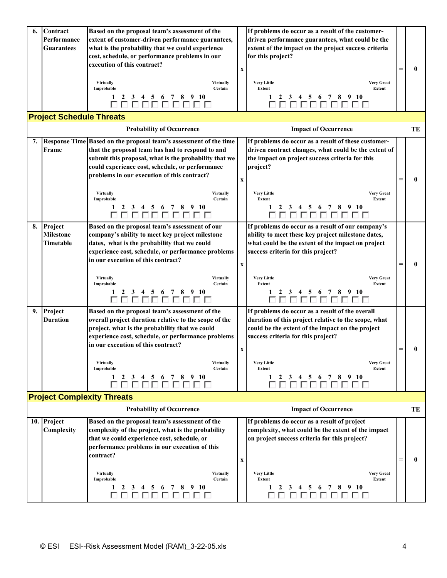| 6. | Contract                        | Based on the proposal team's assessment of the                       |                           | If problems do occur as a result of the customer-           |     |    |
|----|---------------------------------|----------------------------------------------------------------------|---------------------------|-------------------------------------------------------------|-----|----|
|    | Performance                     | extent of customer-driven performance guarantees,                    |                           | driven performance guarantees, what could be the            |     |    |
|    | <b>Guarantees</b>               | what is the probability that we could experience                     |                           | extent of the impact on the project success criteria        |     |    |
|    |                                 | cost, schedule, or performance problems in our                       |                           | for this project?                                           |     |    |
|    |                                 | execution of this contract?                                          | $\boldsymbol{\mathrm{X}}$ |                                                             |     | 0  |
|    |                                 |                                                                      |                           |                                                             |     |    |
|    |                                 | <b>Virtually</b><br><b>Virtually</b><br>Improbable<br>Certain        |                           | <b>Very Little</b><br><b>Very Great</b><br>Extent<br>Extent |     |    |
|    |                                 | 2 3 4 5 6 7 8 9 10<br>1                                              |                           |                                                             |     |    |
|    |                                 | 0000000000                                                           |                           | 3 4 5 6 7 8 9 10<br>2<br>8888888888                         |     |    |
|    | <b>Project Schedule Threats</b> |                                                                      |                           |                                                             |     |    |
|    |                                 |                                                                      |                           |                                                             |     |    |
|    |                                 | <b>Probability of Occurrence</b>                                     |                           | <b>Impact of Occurrence</b>                                 |     | TE |
|    |                                 | 7. Response Time Based on the proposal team's assessment of the time |                           | If problems do occur as a result of these customer-         |     |    |
|    | Frame                           | that the proposal team has had to respond to and                     |                           | driven contract changes, what could be the extent of        |     |    |
|    |                                 | submit this proposal, what is the probability that we                |                           | the impact on project success criteria for this             |     |    |
|    |                                 | could experience cost, schedule, or performance                      |                           | project?                                                    |     |    |
|    |                                 | problems in our execution of this contract?                          |                           |                                                             |     |    |
|    |                                 |                                                                      | $\boldsymbol{\mathrm{X}}$ |                                                             | =   | 0  |
|    |                                 | <b>Virtually</b><br><b>Virtually</b>                                 |                           | <b>Very Little</b><br><b>Very Great</b>                     |     |    |
|    |                                 | Improbable<br>Certain                                                |                           | Extent<br>Extent                                            |     |    |
|    |                                 | 5 6 7 8 9 10<br>3<br>2<br>4                                          |                           | 3 4 5 6 7 8 9 10                                            |     |    |
|    |                                 | 000000000                                                            |                           | 000000000                                                   |     |    |
| 8. | Project                         | Based on the proposal team's assessment of our                       |                           | If problems do occur as a result of our company's           |     |    |
|    | <b>Milestone</b>                | company's ability to meet key project milestone                      |                           | ability to meet these key project milestone dates,          |     |    |
|    | Timetable                       | dates, what is the probability that we could                         |                           | what could be the extent of the impact on project           |     |    |
|    |                                 | experience cost, schedule, or performance problems                   |                           | success criteria for this project?                          |     |    |
|    |                                 | in our execution of this contract?                                   |                           |                                                             |     |    |
|    |                                 |                                                                      | $\boldsymbol{\mathrm{X}}$ |                                                             | $=$ | 0  |
|    |                                 | <b>Virtually</b><br><b>Virtually</b>                                 |                           | <b>Very Little</b><br><b>Very Great</b>                     |     |    |
|    |                                 | Improbable<br>Certain                                                |                           | Extent<br>Extent                                            |     |    |
|    |                                 | 3 4 5 6 7 8 9 10                                                     |                           |                                                             |     |    |
|    |                                 | 000000000                                                            |                           |                                                             |     |    |
|    | 9. Project                      | Based on the proposal team's assessment of the                       |                           | If problems do occur as a result of the overall             |     |    |
|    | <b>Duration</b>                 | overall project duration relative to the scope of the                |                           | duration of this project relative to the scope, what        |     |    |
|    |                                 | project, what is the probability that we could                       |                           | could be the extent of the impact on the project            |     |    |
|    |                                 | experience cost, schedule, or performance problems                   |                           | success criteria for this project?                          |     |    |
|    |                                 | in our execution of this contract?                                   |                           |                                                             |     |    |
|    |                                 |                                                                      | $\mathbf X$               |                                                             | $=$ | 0  |
|    |                                 | <b>Virtually</b><br><b>Virtually</b>                                 |                           | <b>Very Little</b><br><b>Very Great</b>                     |     |    |
|    |                                 | Improbable<br>Certain                                                |                           | Extent<br>Extent                                            |     |    |
|    |                                 | 3 4 5 6 7 8 9 10<br>2<br>1<br>88888888                               |                           | 3 4 5 6 7 8 9 10<br>2<br>000000000                          |     |    |
|    |                                 | <b>Project Complexity Threats</b>                                    |                           |                                                             |     |    |
|    |                                 |                                                                      |                           |                                                             |     |    |
|    |                                 | <b>Probability of Occurrence</b>                                     |                           | <b>Impact of Occurrence</b>                                 |     | TE |
|    | 10. Project                     | Based on the proposal team's assessment of the                       |                           | If problems do occur as a result of project                 |     |    |
|    | Complexity                      | complexity of the project, what is the probability                   |                           | complexity, what could be the extent of the impact          |     |    |
|    |                                 | that we could experience cost, schedule, or                          |                           | on project success criteria for this project?               |     |    |
|    |                                 | performance problems in our execution of this                        |                           |                                                             |     |    |
|    |                                 | contract?                                                            |                           |                                                             | $=$ | 0  |
|    |                                 |                                                                      | X                         |                                                             |     |    |
|    |                                 | <b>Virtually</b><br><b>Virtually</b>                                 |                           | <b>Very Little</b><br><b>Very Great</b>                     |     |    |
|    |                                 | Improbable<br>Certain                                                |                           | Extent<br>Extent                                            |     |    |
|    |                                 | 3<br>$\overline{4}$<br>5 6 7 8 9 10<br>1<br>2                        |                           | 3 4 5 6 7<br>-8<br>9 10<br>2                                |     |    |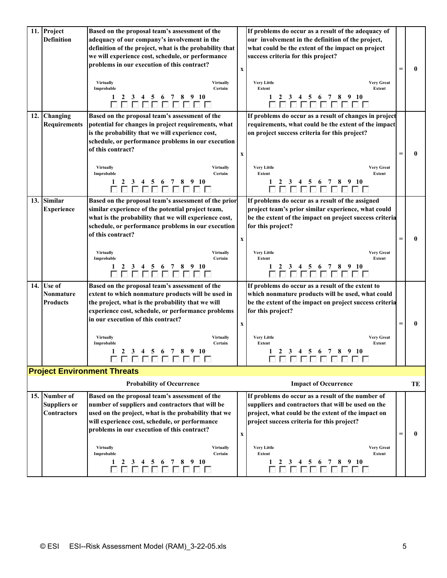|     | 11. Project<br><b>Definition</b> | Based on the proposal team's assessment of the<br>adequacy of our company's involvement in the |                           | If problems do occur as a result of the adequacy of<br>our involvement in the definition of the project, |          |    |
|-----|----------------------------------|------------------------------------------------------------------------------------------------|---------------------------|----------------------------------------------------------------------------------------------------------|----------|----|
|     |                                  |                                                                                                |                           |                                                                                                          |          |    |
|     |                                  | definition of the project, what is the probability that                                        |                           | what could be the extent of the impact on project                                                        |          |    |
|     |                                  | we will experience cost, schedule, or performance                                              |                           | success criteria for this project?                                                                       |          |    |
|     |                                  | problems in our execution of this contract?                                                    | $\mathbf X$               |                                                                                                          |          | 0  |
|     |                                  | <b>Virtually</b><br><b>Virtually</b>                                                           |                           | <b>Very Little</b><br><b>Very Great</b>                                                                  |          |    |
|     |                                  | Certain<br>Improbable                                                                          |                           | <b>Extent</b><br>Extent                                                                                  |          |    |
|     |                                  | 5 6 7 8 9 10<br>1<br>2<br>$\mathbf{3}$<br>$\overline{4}$<br>00000000                           |                           | 3 4 5 6 7 8 9 10<br>$\mathbf{2}$<br>888888888                                                            |          |    |
|     | 12. Changing                     | Based on the proposal team's assessment of the                                                 |                           | If problems do occur as a result of changes in project                                                   |          |    |
|     | <b>Requirements</b>              | potential for changes in project requirements, what                                            |                           | requirements, what could be the extent of the impact                                                     |          |    |
|     |                                  | is the probability that we will experience cost,                                               |                           | on project success criteria for this project?                                                            |          |    |
|     |                                  | schedule, or performance problems in our execution                                             |                           |                                                                                                          |          |    |
|     |                                  | of this contract?                                                                              |                           |                                                                                                          |          |    |
|     |                                  |                                                                                                | $\boldsymbol{\mathrm{X}}$ |                                                                                                          | $=$      | 0  |
|     |                                  | <b>Virtually</b><br><b>Virtually</b><br>Certain<br>Improbable                                  |                           | <b>Very Little</b><br><b>Very Great</b><br>Extent<br>Extent                                              |          |    |
|     |                                  | 5 6 7 8 9 10<br>3 4<br>000000000                                                               |                           | 3 4 5 6 7 8 9 10<br>0000000000                                                                           |          |    |
| 13. | <b>Similar</b>                   | Based on the proposal team's assessment of the prior                                           |                           | If problems do occur as a result of the assigned                                                         |          |    |
|     | <b>Experience</b>                | similar experience of the potential project team,                                              |                           | project team's prior similar experience, what could                                                      |          |    |
|     |                                  | what is the probability that we will experience cost,                                          |                           | be the extent of the impact on project success criteria                                                  |          |    |
|     |                                  | schedule, or performance problems in our execution                                             |                           | for this project?                                                                                        |          |    |
|     |                                  | of this contract?                                                                              |                           |                                                                                                          |          |    |
|     |                                  |                                                                                                | $\boldsymbol{\mathrm{X}}$ |                                                                                                          | $=$      | 0  |
|     |                                  |                                                                                                |                           |                                                                                                          |          |    |
|     |                                  | <b>Virtually</b><br><b>Virtually</b><br>Certain<br>Improbable                                  |                           | <b>Very Little</b><br><b>Very Great</b><br>Extent<br>Extent                                              |          |    |
|     |                                  | 3 4 5 6 7 8 9 10<br>88888888                                                                   |                           | 3 4 5 6 7 8 9 10<br>00000000                                                                             |          |    |
|     | 14. Use of                       | Based on the proposal team's assessment of the                                                 |                           | If problems do occur as a result of the extent to                                                        |          |    |
|     | Nonmature                        | extent to which nonmature products will be used in                                             |                           | which nonmature products will be used, what could                                                        |          |    |
|     | <b>Products</b>                  | the project, what is the probability that we will                                              |                           | be the extent of the impact on project success criteria                                                  |          |    |
|     |                                  | experience cost, schedule, or performance problems                                             |                           | for this project?                                                                                        |          |    |
|     |                                  | in our execution of this contract?                                                             |                           |                                                                                                          |          |    |
|     |                                  |                                                                                                | $\boldsymbol{\mathrm{X}}$ |                                                                                                          | $\equiv$ | 0  |
|     |                                  | <b>Virtually</b><br>Virtually<br>Improbable<br>Certain                                         |                           | <b>Very Little</b><br><b>Very Great</b><br>Extent<br>Extent                                              |          |    |
|     |                                  | 3 4 5 6 7 8 9 10<br>1<br>$\overline{2}$                                                        |                           | 2 3 4 5 6 7 8<br>$9 - 10$<br>1.                                                                          |          |    |
|     |                                  | 0000000000                                                                                     |                           | 0000000000                                                                                               |          |    |
|     |                                  | <b>Project Environment Threats</b>                                                             |                           |                                                                                                          |          |    |
|     |                                  | <b>Probability of Occurrence</b>                                                               |                           | <b>Impact of Occurrence</b>                                                                              |          | TE |
|     | 15. Number of                    | Based on the proposal team's assessment of the                                                 |                           | If problems do occur as a result of the number of                                                        |          |    |
|     | <b>Suppliers or</b>              | number of suppliers and contractors that will be                                               |                           | suppliers and contractors that will be used on the                                                       |          |    |
|     | <b>Contractors</b>               | used on the project, what is the probability that we                                           |                           | project, what could be the extent of the impact on                                                       |          |    |
|     |                                  | will experience cost, schedule, or performance                                                 |                           | project success criteria for this project?                                                               |          |    |
|     |                                  | problems in our execution of this contract?                                                    |                           |                                                                                                          |          |    |
|     |                                  |                                                                                                | $\boldsymbol{\mathrm{X}}$ |                                                                                                          | =        | 0  |
|     |                                  | <b>Virtually</b><br><b>Virtually</b><br>Certain<br>Improbable                                  |                           | <b>Very Little</b><br><b>Very Great</b><br>Extent<br>Extent                                              |          |    |
|     |                                  | 1<br>3 4 5 6 7 8 9 10<br><sup>2</sup>                                                          |                           | 2 3 4 5 6<br>78910<br>1                                                                                  |          |    |
|     |                                  |                                                                                                |                           |                                                                                                          |          |    |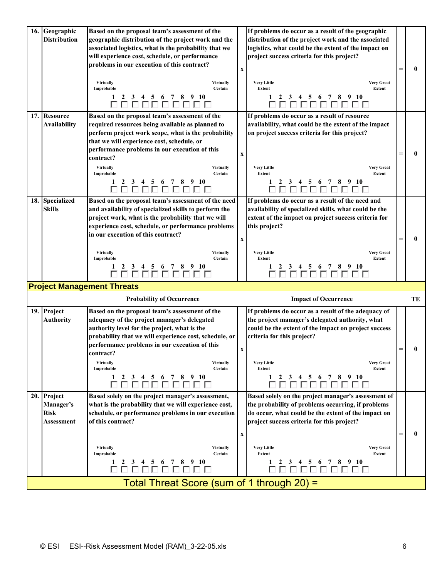| 16. | Geographic<br><b>Distribution</b>              | Based on the proposal team's assessment of the<br>geographic distribution of the project work and the<br>associated logistics, what is the probability that we<br>will experience cost, schedule, or performance<br>problems in our execution of this contract?<br><b>Virtually</b><br><b>Virtually</b><br>Improbable<br>Certain<br>1<br>5 6 7 8 9 10<br>2 3<br>$\overline{4}$<br>000000000 | $\boldsymbol{\mathrm{X}}$ | If problems do occur as a result of the geographic<br>distribution of the project work and the associated<br>logistics, what could be the extent of the impact on<br>project success criteria for this project?<br><b>Very Little</b><br><b>Very Great</b><br><b>Extent</b><br><b>Extent</b><br>3 4 5 6 7 8 9 10<br>1<br>$\mathbf{2}$<br>0000000000 |     | 0  |
|-----|------------------------------------------------|---------------------------------------------------------------------------------------------------------------------------------------------------------------------------------------------------------------------------------------------------------------------------------------------------------------------------------------------------------------------------------------------|---------------------------|-----------------------------------------------------------------------------------------------------------------------------------------------------------------------------------------------------------------------------------------------------------------------------------------------------------------------------------------------------|-----|----|
|     | 17. Resource<br><b>Availability</b>            | Based on the proposal team's assessment of the<br>required resources being available as planned to<br>perform project work scope, what is the probability<br>that we will experience cost, schedule, or<br>performance problems in our execution of this<br>contract?<br>Virtually<br><b>Virtually</b><br>Certain<br>Improbable<br>3 4 5 6 7 8 9 10<br>2<br>1<br>000000000                  | $\mathbf X$               | If problems do occur as a result of resource<br>availability, what could be the extent of the impact<br>on project success criteria for this project?<br><b>Very Little</b><br><b>Very Great</b><br>Extent<br>Extent<br>3 4 5 6 7 8 9 10<br>000000000                                                                                               |     | 0  |
| 18. | <b>Specialized</b><br><b>Skills</b>            | Based on the proposal team's assessment of the need<br>and availability of specialized skills to perform the<br>project work, what is the probability that we will<br>experience cost, schedule, or performance problems<br>in our execution of this contract?<br><b>Virtually</b><br><b>Virtually</b><br>Certain<br>Improbable                                                             | $\boldsymbol{\mathrm{X}}$ | If problems do occur as a result of the need and<br>availability of specialized skills, what could be the<br>extent of the impact on project success criteria for<br>this project?<br><b>Very Little</b><br><b>Very Great</b><br>Extent<br>Extent<br>$\begin{array}{cccccccccc}\n3 & 4 & 5 & 6 & 7 & 8 & 9 & 10 \\ \hline\n\end{array}$             |     |    |
|     |                                                | <b>Project Management Threats</b>                                                                                                                                                                                                                                                                                                                                                           |                           |                                                                                                                                                                                                                                                                                                                                                     |     |    |
|     |                                                | <b>Probability of Occurrence</b>                                                                                                                                                                                                                                                                                                                                                            |                           | <b>Impact of Occurrence</b>                                                                                                                                                                                                                                                                                                                         |     | TE |
|     | 19. Project<br><b>Authority</b>                | Based on the proposal team's assessment of the<br>adequacy of the project manager's delegated<br>authority level for the project, what is the<br>probability that we will experience cost, schedule, or<br>performance problems in our execution of this<br>contract?<br><b>Virtually</b><br><b>Virtually</b><br>Certain<br>Improbable<br>3 4 5 6 7 8 9 10<br>1<br>2<br>00000000            | $\mathbf{x}$              | If problems do occur as a result of the adequacy of<br>the project manager's delegated authority, what<br>could be the extent of the impact on project success<br>criteria for this project?<br><b>Very Little</b><br><b>Very Great</b><br><b>Extent</b><br>Extent<br>3 4 5 6 7 8 9 10<br>$\mathbf{2}$<br>1<br>000000000                            |     | 0  |
|     | 20. Project<br>Manager's<br>Risk<br>Assessment | Based solely on the project manager's assessment,<br>what is the probability that we will experience cost,<br>schedule, or performance problems in our execution<br>of this contract?<br><b>Virtually</b><br><b>Virtually</b><br>Certain<br>Improbable<br>1<br><sup>2</sup><br>3 4 5 6 7 8 9 10<br>100000<br>Total Threat Score (sum of 1 through 20) =                                     | $\boldsymbol{\mathrm{X}}$ | Based solely on the project manager's assessment of<br>the probability of problems occurring, if problems<br>do occur, what could be the extent of the impact on<br>project success criteria for this project?<br><b>Very Little</b><br><b>Very Great</b><br>Extent<br>Extent<br>2 3 4 5 6 7 8 9 10<br>1<br>0 0 0 0 0 0 0 0 0                       | $=$ | 0  |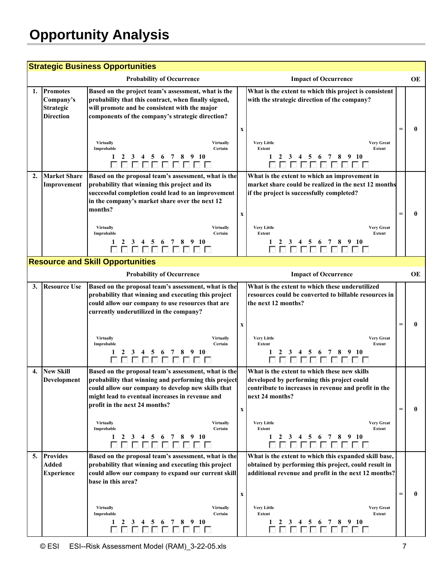## **Opportunity Analysis**

| <b>Strategic Business Opportunities</b> |                                                                      |                                                                                                                                                                                                                                                                                                                                                                    |                           |                                                                                                                                                                                                                                                                                                                             |  |    |  |
|-----------------------------------------|----------------------------------------------------------------------|--------------------------------------------------------------------------------------------------------------------------------------------------------------------------------------------------------------------------------------------------------------------------------------------------------------------------------------------------------------------|---------------------------|-----------------------------------------------------------------------------------------------------------------------------------------------------------------------------------------------------------------------------------------------------------------------------------------------------------------------------|--|----|--|
|                                         |                                                                      | <b>Probability of Occurrence</b>                                                                                                                                                                                                                                                                                                                                   |                           | <b>Impact of Occurrence</b>                                                                                                                                                                                                                                                                                                 |  | OE |  |
| 1.                                      | <b>Promotes</b><br>Company's<br><b>Strategic</b><br><b>Direction</b> | Based on the project team's assessment, what is the<br>probability that this contract, when finally signed,<br>will promote and be consistent with the major<br>components of the company's strategic direction?<br><b>Virtually</b><br><b>Virtually</b><br>Improbable<br>Certain<br>1<br>3<br>5 6 7 8 9 10<br><sup>2</sup><br>4                                   | $\mathbf X$               | What is the extent to which this project is consistent<br>with the strategic direction of the company?<br><b>Very Little</b><br><b>Very Great</b><br>Extent<br><b>Extent</b><br>$\mathbf{1}$<br>3 4 5 6 7 8 9 10<br>$\mathbf{2}$                                                                                            |  | 0  |  |
| $\overline{2}$ .                        | <b>Market Share</b><br>Improvement                                   | 0000000000<br>Based on the proposal team's assessment, what is the<br>probability that winning this project and its<br>successful completion could lead to an improvement<br>in the company's market share over the next 12<br>months?<br><b>Virtually</b><br><b>Virtually</b><br>Improbable<br>Certain<br>1                                                       | $\boldsymbol{\mathrm{X}}$ | 0000000000<br>What is the extent to which an improvement in<br>market share could be realized in the next 12 months<br>if the project is successfully completed?<br><b>Very Little</b><br><b>Very Great</b><br>Extent<br>Extent<br>$\begin{array}{c cccccc}\n1 & 2 & 3 & 4 & 5 & 6 & 7 & 8 & 9 & 10 \\ \hline\n\end{array}$ |  | 0  |  |
|                                         | <b>Resource and Skill Opportunities</b>                              |                                                                                                                                                                                                                                                                                                                                                                    |                           |                                                                                                                                                                                                                                                                                                                             |  |    |  |
|                                         |                                                                      | <b>Probability of Occurrence</b>                                                                                                                                                                                                                                                                                                                                   |                           | <b>Impact of Occurrence</b>                                                                                                                                                                                                                                                                                                 |  | OЕ |  |
| 3.                                      | <b>Resource Use</b>                                                  | Based on the proposal team's assessment, what is the<br>probability that winning and executing this project<br>could allow our company to use resources that are<br>currently underutilized in the company?<br><b>Virtually</b><br><b>Virtually</b><br>Improbable<br>Certain<br>5 6 7 8 9 10<br>4                                                                  | $\boldsymbol{\mathrm{X}}$ | What is the extent to which these underutilized<br>resources could be converted to billable resources in<br>the next 12 months?<br><b>Very Little</b><br><b>Very Great</b><br>Extent<br>Extent<br>4 5 6 7 8 9 10<br>3                                                                                                       |  | 0  |  |
| 4.                                      | <b>New Skill</b><br>Development                                      | Based on the proposal team's assessment, what is the<br>probability that winning and performing this project<br>could allow our company to develop new skills that<br>might lead to eventual increases in revenue and<br>profit in the next 24 months?<br><b>Virtually</b><br><b>Virtually</b><br>Improbable<br>Certain<br>3 4 5 6 7 8 9 10<br>1<br>2<br>000000000 | $\mathbf x$               | What is the extent to which these new skills<br>developed by performing this project could<br>contribute to increases in revenue and profit in the<br>next 24 months?<br><b>Very Little</b><br><b>Very Great</b><br>Extent<br>Extent<br>2 3 4 5 6 7 8 9 10<br>1<br>0000000000                                               |  | 0  |  |
| 5.                                      | <b>Provides</b><br><b>Added</b><br><b>Experience</b>                 | Based on the proposal team's assessment, what is the<br>probability that winning and executing this project<br>could allow our company to expand our current skill<br>base in this area?<br><b>Virtually</b><br><b>Virtually</b><br>Improbable<br>Certain<br>2 3 4 5 6 7 8 9 10<br>1                                                                               | x                         | What is the extent to which this expanded skill base,<br>obtained by performing this project, could result in<br>additional revenue and profit in the next 12 months?<br><b>Very Little</b><br><b>Very Great</b><br>Extent<br>Extent<br>3 4 5 6 7 8 9 10<br>1<br>$\mathbf{2}$<br>ПП                                         |  | 0  |  |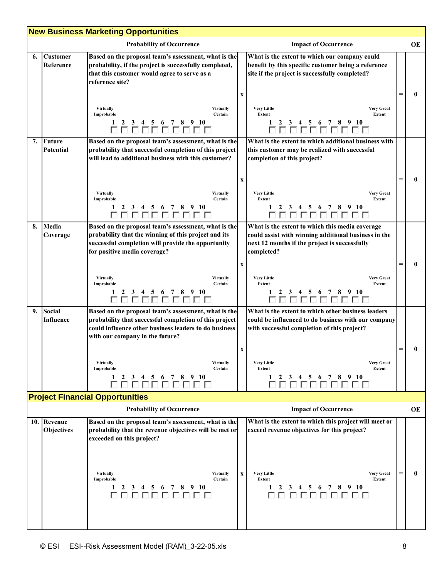| <b>New Business Marketing Opportunities</b> |                                  |                                                                                                                                                                                                                                                                                                                             |                           |                                                                                                                                                                                                                                                                        |     |           |
|---------------------------------------------|----------------------------------|-----------------------------------------------------------------------------------------------------------------------------------------------------------------------------------------------------------------------------------------------------------------------------------------------------------------------------|---------------------------|------------------------------------------------------------------------------------------------------------------------------------------------------------------------------------------------------------------------------------------------------------------------|-----|-----------|
|                                             |                                  | <b>Probability of Occurrence</b>                                                                                                                                                                                                                                                                                            |                           | <b>Impact of Occurrence</b>                                                                                                                                                                                                                                            |     | OE        |
| 6.                                          | <b>Customer</b><br>Reference     | Based on the proposal team's assessment, what is the<br>probability, if the project is successfully completed,<br>that this customer would agree to serve as a<br>reference site?<br><b>Virtually</b><br><b>Virtually</b><br>Certain<br>Improbable<br>3 4 5 6 7 8 9 10<br>1<br>2<br>0000000000                              | $\mathbf x$               | What is the extent to which our company could<br>benefit by this specific customer being a reference<br>site if the project is successfully completed?<br><b>Very Little</b><br><b>Very Great</b><br>Extent<br>Extent<br>2 3 4 5 6 7 8 9 10<br>888888888               |     | 0         |
| 7.                                          | Future<br><b>Potential</b>       | Based on the proposal team's assessment, what is the<br>probability that successful completion of this project<br>will lead to additional business with this customer?<br>Virtually<br><b>Virtually</b><br>Improbable<br>Certain<br>2 3 4 5 6 7 8 9 10<br>1<br>0000000000                                                   | $\mathbf x$               | What is the extent to which additional business with<br>this customer may be realized with successful<br>completion of this project?<br><b>Very Little</b><br><b>Very Great</b><br>Extent<br>Extent<br>2 3 4 5 6 7 8 9 10<br>0000000000                                | =   | 0         |
| 8.                                          | Media<br>Coverage                | Based on the proposal team's assessment, what is the<br>probability that the winning of this project and its<br>successful completion will provide the opportunity<br>for positive media coverage?<br><b>Virtually</b><br><b>Virtually</b><br>Improbable<br>Certain<br>2<br>3 4 5 6 7 8 9 10<br>1<br>000000000              | $\boldsymbol{\mathrm{X}}$ | What is the extent to which this media coverage<br>could assist with winning additional business in the<br>next 12 months if the project is successfully<br>completed?<br><b>Very Little</b><br><b>Very Great</b><br>Extent<br>Extent<br>3 4 5 6 7 8 9 10<br>888888888 | Ξ   | 0         |
| 9.                                          | <b>Social</b><br>Influence       | Based on the proposal team's assessment, what is the<br>probability that successful completion of this project<br>could influence other business leaders to do business<br>with our company in the future?<br><b>Virtually</b><br><b>Virtually</b><br>Improbable<br>Certain<br>2 3 4 5 6 7 8 9 10<br>1<br><u>DO D D D D</u> | X                         | What is the extent to which other business leaders<br>could be influenced to do business with our company<br>with successful completion of this project?<br><b>Very Great</b><br>Very Little<br>Extent<br>Extent<br>2 3 4 5 6 7 8 9 10<br>пппп                         |     |           |
|                                             |                                  | <b>Project Financial Opportunities</b>                                                                                                                                                                                                                                                                                      |                           |                                                                                                                                                                                                                                                                        |     |           |
|                                             |                                  | <b>Probability of Occurrence</b>                                                                                                                                                                                                                                                                                            |                           | <b>Impact of Occurrence</b>                                                                                                                                                                                                                                            |     | <b>OE</b> |
|                                             | 10. Revenue<br><b>Objectives</b> | Based on the proposal team's assessment, what is the<br>probability that the revenue objectives will be met or<br>exceeded on this project?<br><b>Virtually</b><br><b>Virtually</b><br>Certain<br>Improbable<br>5 6 7 8 9 10<br>1<br>2 3 4                                                                                  | $\mathbf x$               | What is the extent to which this project will meet or<br>exceed revenue objectives for this project?<br><b>Very Little</b><br><b>Very Great</b><br>Extent<br>Extent<br>3 4 5 6 7 8 9 10<br>2                                                                           | $=$ | 0         |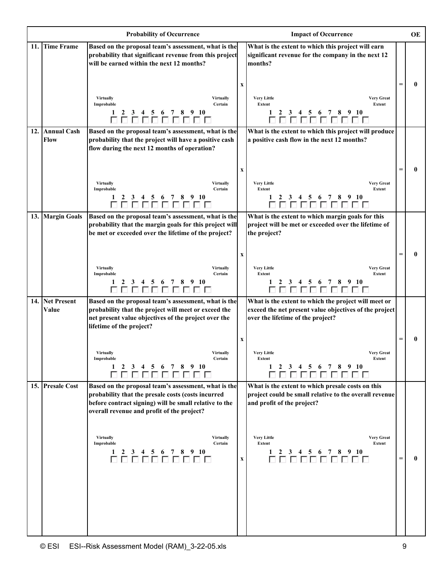|                          | <b>Probability of Occurrence</b>                                                                                                                                                                                                                                                                                      |                           | <b>Impact of Occurrence</b>                                                                                                                                                                                                                 |          | <b>OE</b> |
|--------------------------|-----------------------------------------------------------------------------------------------------------------------------------------------------------------------------------------------------------------------------------------------------------------------------------------------------------------------|---------------------------|---------------------------------------------------------------------------------------------------------------------------------------------------------------------------------------------------------------------------------------------|----------|-----------|
| 11. Time Frame           | Based on the proposal team's assessment, what is the<br>probability that significant revenue from this project<br>will be earned within the next 12 months?                                                                                                                                                           |                           | What is the extent to which this project will earn<br>significant revenue for the company in the next 12<br>months?                                                                                                                         |          |           |
|                          | Virtually<br><b>Virtually</b><br>Improbable<br>Certain<br>3 4 5 6 7 8 9 10<br>1<br>2<br>00000000                                                                                                                                                                                                                      | $\boldsymbol{\mathrm{X}}$ | <b>Very Little</b><br><b>Very Great</b><br>Extent<br>Extent<br>3 4 5 6 7 8 9 10<br>0000000000                                                                                                                                               |          | 0         |
| 12. Annual Cash<br>Flow  | Based on the proposal team's assessment, what is the<br>probability that the project will have a positive cash<br>flow during the next 12 months of operation?<br><b>Virtually</b><br><b>Virtually</b><br>Certain<br>Improbable                                                                                       | X                         | What is the extent to which this project will produce<br>a positive cash flow in the next 12 months?<br><b>Very Little</b><br><b>Very Great</b><br>Extent<br>Extent                                                                         | $\equiv$ | 0         |
| 13. Margin Goals         | 2<br>3 4 5 6 7 8 9 10<br>1<br>000000000<br>Based on the proposal team's assessment, what is the<br>probability that the margin goals for this project will                                                                                                                                                            |                           | 3 4 5 6 7 8 9 10<br>1000000000<br>What is the extent to which margin goals for this<br>project will be met or exceeded over the lifetime of                                                                                                 |          |           |
|                          | be met or exceeded over the lifetime of the project?<br><b>Virtually</b><br><b>Virtually</b>                                                                                                                                                                                                                          | $\mathbf X$               | the project?<br><b>Very Little</b><br><b>Very Great</b>                                                                                                                                                                                     |          | 0         |
|                          | Certain<br>Improbable<br>3 4 5 6 7 8 9 10<br>2<br>00000000                                                                                                                                                                                                                                                            |                           | Extent<br>Extent<br>3 4 5 6 7 8 9 10<br>$\mathbf{2}$<br>000000000                                                                                                                                                                           |          |           |
| 14. Net Present<br>Value | Based on the proposal team's assessment, what is the<br>probability that the project will meet or exceed the<br>net present value objectives of the project over the<br>lifetime of the project?                                                                                                                      | X                         | What is the extent to which the project will meet or<br>exceed the net present value objectives of the project<br>over the lifetime of the project?                                                                                         | $=$      | 0         |
|                          | <b>Virtually</b><br><b>Virtually</b><br>Certain<br>Improbable<br>2 3 4 5 6 7 8 9 10<br>1<br>888888888                                                                                                                                                                                                                 |                           | <b>Very Little</b><br><b>Very Great</b><br>Extent<br>Extent<br>2 3 4 5 6 7 8 9 10<br>$\mathbf{1}$<br>0000000000                                                                                                                             |          |           |
| 15. Presale Cost         | Based on the proposal team's assessment, what is the<br>probability that the presale costs (costs incurred<br>before contract signing) will be small relative to the<br>overall revenue and profit of the project?<br><b>Virtually</b><br>Virtually<br>Improbable<br>Certain<br>2 3 4 5 6 7 8 9 10<br>1<br>8888888888 | $\mathbf X$               | What is the extent to which presale costs on this<br>project could be small relative to the overall revenue<br>and profit of the project?<br><b>Very Little</b><br><b>Very Great</b><br>Extent<br>Extent<br>2 3 4 5 6 7 8 9 10<br>000000000 | $=$      | 0         |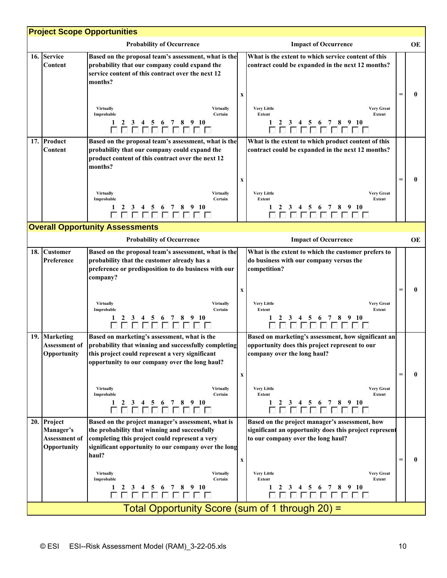| <b>Project Scope Opportunities</b>     |                                                      |                                                                                                                                                                                                                                                                                                                                           |                           |                                                                                                                                                                                                                                                                               |     |    |  |  |
|----------------------------------------|------------------------------------------------------|-------------------------------------------------------------------------------------------------------------------------------------------------------------------------------------------------------------------------------------------------------------------------------------------------------------------------------------------|---------------------------|-------------------------------------------------------------------------------------------------------------------------------------------------------------------------------------------------------------------------------------------------------------------------------|-----|----|--|--|
|                                        |                                                      | <b>Probability of Occurrence</b>                                                                                                                                                                                                                                                                                                          |                           | <b>Impact of Occurrence</b>                                                                                                                                                                                                                                                   |     | OE |  |  |
|                                        | 16. Service<br>Content                               | Based on the proposal team's assessment, what is the<br>probability that our company could expand the<br>service content of this contract over the next 12<br>months?<br><b>Virtually</b><br><b>Virtually</b><br>Improbable<br>Certain<br>5 6 7 8 9 10<br>2<br>3<br>4<br>00000000                                                         | $\boldsymbol{\mathrm{X}}$ | What is the extent to which service content of this<br>contract could be expanded in the next 12 months?<br><b>Very Little</b><br><b>Very Great</b><br><b>Extent</b><br>Extent<br>3 4 5 6 7 8 9 10<br>00000000                                                                |     | 0  |  |  |
| 17.                                    | Product<br>Content                                   | Based on the proposal team's assessment, what is the<br>probability that our company could expand the<br>product content of this contract over the next 12<br>months?<br><b>Virtually</b><br><b>Virtually</b><br>Improbable<br>Certain                                                                                                    | $\mathbf X$               | What is the extent to which product content of this<br>contract could be expanded in the next 12 months?<br><b>Very Little</b><br><b>Very Great</b><br><b>Extent</b><br>Extent<br>3 4 5 6 7 8 9 10<br>00000000                                                                |     | 0  |  |  |
| <b>Overall Opportunity Assessments</b> |                                                      |                                                                                                                                                                                                                                                                                                                                           |                           |                                                                                                                                                                                                                                                                               |     |    |  |  |
|                                        |                                                      | <b>Probability of Occurrence</b>                                                                                                                                                                                                                                                                                                          |                           | <b>Impact of Occurrence</b>                                                                                                                                                                                                                                                   |     | OE |  |  |
|                                        | 18. Customer<br>Preference                           | Based on the proposal team's assessment, what is the<br>probability that the customer already has a<br>preference or predisposition to do business with our<br>company?<br><b>Virtually</b><br><b>Virtually</b><br>Improbable<br>Certain<br>6 7 8 9 10<br>1<br>3<br>5<br>4<br>00000000                                                    | $\mathbf X$               | What is the extent to which the customer prefers to<br>do business with our company versus the<br>competition?<br><b>Very Little</b><br><b>Very Great</b><br>Extent<br>Extent<br>3 4 5 6 7 8 9 10<br>2<br>0000000000                                                          |     | 0  |  |  |
|                                        | 19. Marketing<br><b>Assessment of</b><br>Opportunity | Based on marketing's assessment, what is the<br>probability that winning and successfully completing<br>this project could represent a very significant<br>opportunity to our company over the long haul?<br><b>Virtually</b><br><b>Virtually</b><br>Certain<br>Improbable<br>2<br>6 7 8 9 10<br>1<br>3<br>4<br>5 <sup>5</sup><br>nnnnnnn | $\boldsymbol{\mathrm{X}}$ | Based on marketing's assessment, how significant an<br>opportunity does this project represent to our<br>company over the long haul?<br><b>Very Little</b><br><b>Very Great</b><br>Extent<br>Extent<br>3 4 5 6<br>78910<br>1<br>2                                             | $=$ | 0  |  |  |
| 20.                                    | Project<br>Manager's<br>Assessment of<br>Opportunity | Based on the project manager's assessment, what is<br>the probability that winning and successfully<br>completing this project could represent a very<br>significant opportunity to our company over the long<br>haul?<br><b>Virtually</b><br><b>Virtually</b><br>Improbable<br>Certain<br>1<br>56789<br>- 10<br>2<br>3<br>4              | $\mathbf X$               | Based on the project manager's assessment, how<br>significant an opportunity does this project represent<br>to our company over the long haul?<br><b>Very Little</b><br><b>Very Great</b><br><b>Extent</b><br><b>Extent</b><br>$3\quad 4$<br>$5\quad6$<br>78910<br>2<br>00000 |     | 0  |  |  |
|                                        | Total Opportunity Score (sum of 1 through 20) =      |                                                                                                                                                                                                                                                                                                                                           |                           |                                                                                                                                                                                                                                                                               |     |    |  |  |